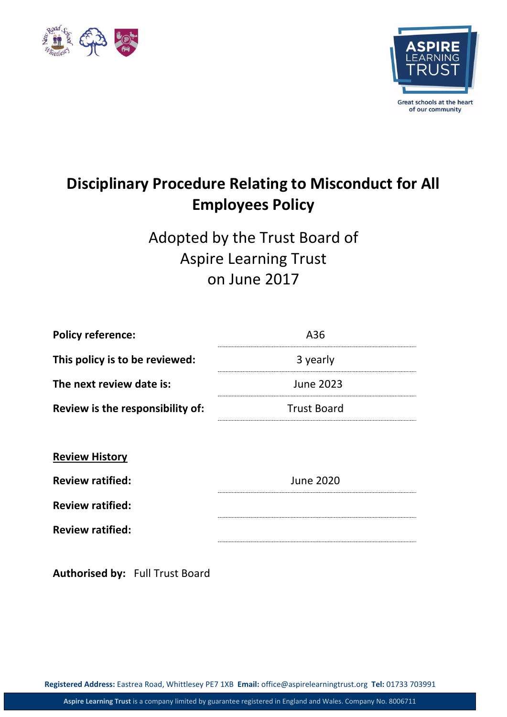



# **Disciplinary Procedure Relating to Misconduct for All Employees Policy**

Adopted by the Trust Board of Aspire Learning Trust on June 2017

| <b>Policy reference:</b>         | A36                |
|----------------------------------|--------------------|
| This policy is to be reviewed:   | 3 yearly           |
| The next review date is:         | <b>June 2023</b>   |
| Review is the responsibility of: | <b>Trust Board</b> |
|                                  |                    |
| <b>Review History</b>            |                    |
| <b>Review ratified:</b>          | <b>June 2020</b>   |
| <b>Review ratified:</b>          |                    |
| <b>Review ratified:</b>          |                    |
|                                  |                    |

**Authorised by:** Full Trust Board

**Registered Address:** Eastrea Road, Whittlesey PE7 1XB **Email:** office@aspirelearningtrust.org **Tel:** 01733 703991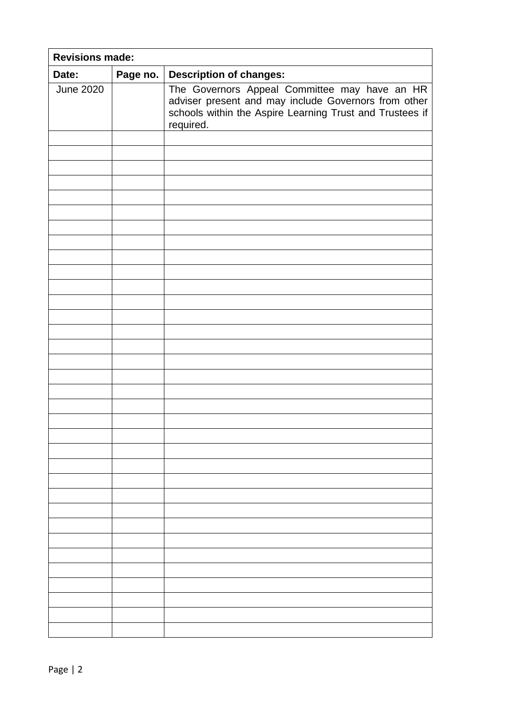| <b>Revisions made:</b> |          |                                                                                                                                                                                |
|------------------------|----------|--------------------------------------------------------------------------------------------------------------------------------------------------------------------------------|
| Date:                  | Page no. | <b>Description of changes:</b>                                                                                                                                                 |
| <b>June 2020</b>       |          | The Governors Appeal Committee may have an HR<br>adviser present and may include Governors from other<br>schools within the Aspire Learning Trust and Trustees if<br>required. |
|                        |          |                                                                                                                                                                                |
|                        |          |                                                                                                                                                                                |
|                        |          |                                                                                                                                                                                |
|                        |          |                                                                                                                                                                                |
|                        |          |                                                                                                                                                                                |
|                        |          |                                                                                                                                                                                |
|                        |          |                                                                                                                                                                                |
|                        |          |                                                                                                                                                                                |
|                        |          |                                                                                                                                                                                |
|                        |          |                                                                                                                                                                                |
|                        |          |                                                                                                                                                                                |
|                        |          |                                                                                                                                                                                |
|                        |          |                                                                                                                                                                                |
|                        |          |                                                                                                                                                                                |
|                        |          |                                                                                                                                                                                |
|                        |          |                                                                                                                                                                                |
|                        |          |                                                                                                                                                                                |
|                        |          |                                                                                                                                                                                |
|                        |          |                                                                                                                                                                                |
|                        |          |                                                                                                                                                                                |
|                        |          |                                                                                                                                                                                |
|                        |          |                                                                                                                                                                                |
|                        |          |                                                                                                                                                                                |
|                        |          |                                                                                                                                                                                |
|                        |          |                                                                                                                                                                                |
|                        |          |                                                                                                                                                                                |
|                        |          |                                                                                                                                                                                |
|                        |          |                                                                                                                                                                                |
|                        |          |                                                                                                                                                                                |
|                        |          |                                                                                                                                                                                |
|                        |          |                                                                                                                                                                                |
|                        |          |                                                                                                                                                                                |
|                        |          |                                                                                                                                                                                |
|                        |          |                                                                                                                                                                                |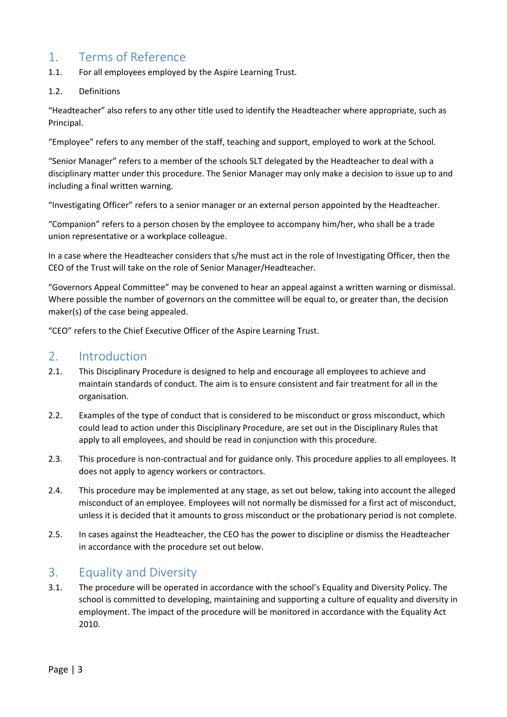# 1. Terms of Reference

- 1.1. For all employees employed by the Aspire Learning Trust.
- 1.2. Definitions

"Headteacher" also refers to any other title used to identify the Headteacher where appropriate, such as Principal.

"Employee" refers to any member of the staff, teaching and support, employed to work at the School.

"Senior Manager" refers to a member of the schools SLT delegated by the Headteacher to deal with a disciplinary matter under this procedure. The Senior Manager may only make a decision to issue up to and including a final written warning.

"Investigating Officer" refers to a senior manager or an external person appointed by the Headteacher.

"Companion" refers to a person chosen by the employee to accompany him/her, who shall be a trade union representative or a workplace colleague.

In a case where the Headteacher considers that s/he must act in the role of Investigating Officer, then the CEO of the Trust will take on the role of Senior Manager/Headteacher.

"Governors Appeal Committee" may be convened to hear an appeal against a written warning or dismissal. Where possible the number of governors on the committee will be equal to, or greater than, the decision maker(s) of the case being appealed.

"CEO" refers to the Chief Executive Officer of the Aspire Learning Trust.

#### 2. Introduction

- 2.1. This Disciplinary Procedure is designed to help and encourage all employees to achieve and maintain standards of conduct. The aim is to ensure consistent and fair treatment for all in the organisation.
- 2.2. Examples of the type of conduct that is considered to be misconduct or gross misconduct, which could lead to action under this Disciplinary Procedure, are set out in the Disciplinary Rules that apply to all employees, and should be read in conjunction with this procedure.
- 2.3. This procedure is non-contractual and for guidance only. This procedure applies to all employees. It does not apply to agency workers or contractors.
- 2.4. This procedure may be implemented at any stage, as set out below, taking into account the alleged misconduct of an employee. Employees will not normally be dismissed for a first act of misconduct, unless it is decided that it amounts to gross misconduct or the probationary period is not complete.
- 2.5. In cases against the Headteacher, the CEO has the power to discipline or dismiss the Headteacher in accordance with the procedure set out below.

## 3. Equality and Diversity

3.1. The procedure will be operated in accordance with the school's Equality and Diversity Policy. The school is committed to developing, maintaining and supporting a culture of equality and diversity in employment. The impact of the procedure will be monitored in accordance with the Equality Act 2010.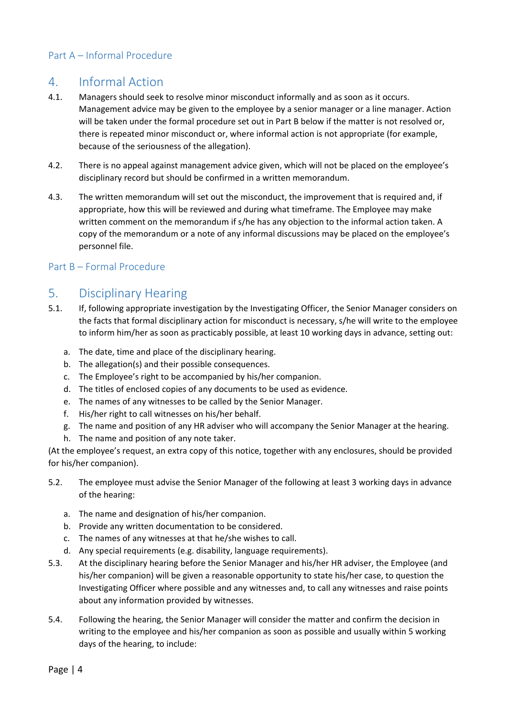#### Part A – Informal Procedure

# 4. Informal Action

- 4.1. Managers should seek to resolve minor misconduct informally and as soon as it occurs. Management advice may be given to the employee by a senior manager or a line manager. Action will be taken under the formal procedure set out in Part B below if the matter is not resolved or, there is repeated minor misconduct or, where informal action is not appropriate (for example, because of the seriousness of the allegation).
- 4.2. There is no appeal against management advice given, which will not be placed on the employee's disciplinary record but should be confirmed in a written memorandum.
- 4.3. The written memorandum will set out the misconduct, the improvement that is required and, if appropriate, how this will be reviewed and during what timeframe. The Employee may make written comment on the memorandum if s/he has any objection to the informal action taken. A copy of the memorandum or a note of any informal discussions may be placed on the employee's personnel file.

#### Part B – Formal Procedure

# 5. Disciplinary Hearing

- 5.1. If, following appropriate investigation by the Investigating Officer, the Senior Manager considers on the facts that formal disciplinary action for misconduct is necessary, s/he will write to the employee to inform him/her as soon as practicably possible, at least 10 working days in advance, setting out:
	- a. The date, time and place of the disciplinary hearing.
	- b. The allegation(s) and their possible consequences.
	- c. The Employee's right to be accompanied by his/her companion.
	- d. The titles of enclosed copies of any documents to be used as evidence.
	- e. The names of any witnesses to be called by the Senior Manager.
	- f. His/her right to call witnesses on his/her behalf.
	- g. The name and position of any HR adviser who will accompany the Senior Manager at the hearing.
	- h. The name and position of any note taker.

(At the employee's request, an extra copy of this notice, together with any enclosures, should be provided for his/her companion).

- 5.2. The employee must advise the Senior Manager of the following at least 3 working days in advance of the hearing:
	- a. The name and designation of his/her companion.
	- b. Provide any written documentation to be considered.
	- c. The names of any witnesses at that he/she wishes to call.
	- d. Any special requirements (e.g. disability, language requirements).
- 5.3. At the disciplinary hearing before the Senior Manager and his/her HR adviser, the Employee (and his/her companion) will be given a reasonable opportunity to state his/her case, to question the Investigating Officer where possible and any witnesses and, to call any witnesses and raise points about any information provided by witnesses.
- 5.4. Following the hearing, the Senior Manager will consider the matter and confirm the decision in writing to the employee and his/her companion as soon as possible and usually within 5 working days of the hearing, to include: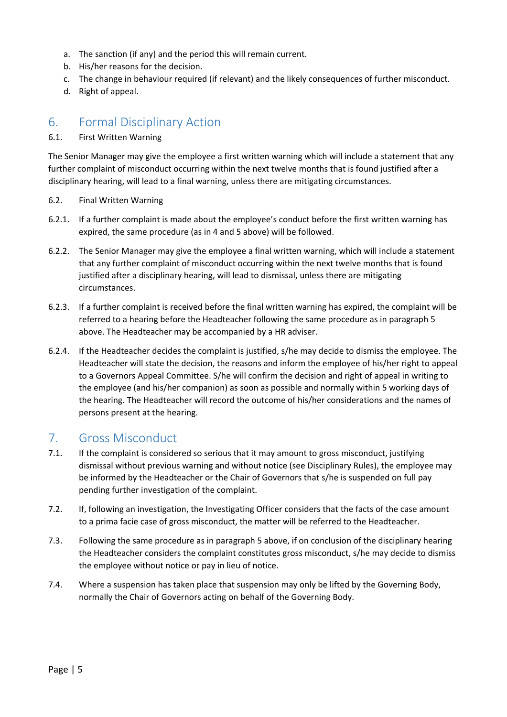- a. The sanction (if any) and the period this will remain current.
- b. His/her reasons for the decision.
- c. The change in behaviour required (if relevant) and the likely consequences of further misconduct.
- d. Right of appeal.

#### 6. Formal Disciplinary Action

#### 6.1. First Written Warning

The Senior Manager may give the employee a first written warning which will include a statement that any further complaint of misconduct occurring within the next twelve months that is found justified after a disciplinary hearing, will lead to a final warning, unless there are mitigating circumstances.

- 6.2. Final Written Warning
- 6.2.1. If a further complaint is made about the employee's conduct before the first written warning has expired, the same procedure (as in 4 and 5 above) will be followed.
- 6.2.2. The Senior Manager may give the employee a final written warning, which will include a statement that any further complaint of misconduct occurring within the next twelve months that is found justified after a disciplinary hearing, will lead to dismissal, unless there are mitigating circumstances.
- 6.2.3. If a further complaint is received before the final written warning has expired, the complaint will be referred to a hearing before the Headteacher following the same procedure as in paragraph 5 above. The Headteacher may be accompanied by a HR adviser.
- 6.2.4. If the Headteacher decides the complaint is justified, s/he may decide to dismiss the employee. The Headteacher will state the decision, the reasons and inform the employee of his/her right to appeal to a Governors Appeal Committee. S/he will confirm the decision and right of appeal in writing to the employee (and his/her companion) as soon as possible and normally within 5 working days of the hearing. The Headteacher will record the outcome of his/her considerations and the names of persons present at the hearing.

#### 7. Gross Misconduct

- 7.1. If the complaint is considered so serious that it may amount to gross misconduct, justifying dismissal without previous warning and without notice (see Disciplinary Rules), the employee may be informed by the Headteacher or the Chair of Governors that s/he is suspended on full pay pending further investigation of the complaint.
- 7.2. If, following an investigation, the Investigating Officer considers that the facts of the case amount to a prima facie case of gross misconduct, the matter will be referred to the Headteacher.
- 7.3. Following the same procedure as in paragraph 5 above, if on conclusion of the disciplinary hearing the Headteacher considers the complaint constitutes gross misconduct, s/he may decide to dismiss the employee without notice or pay in lieu of notice.
- 7.4. Where a suspension has taken place that suspension may only be lifted by the Governing Body, normally the Chair of Governors acting on behalf of the Governing Body.